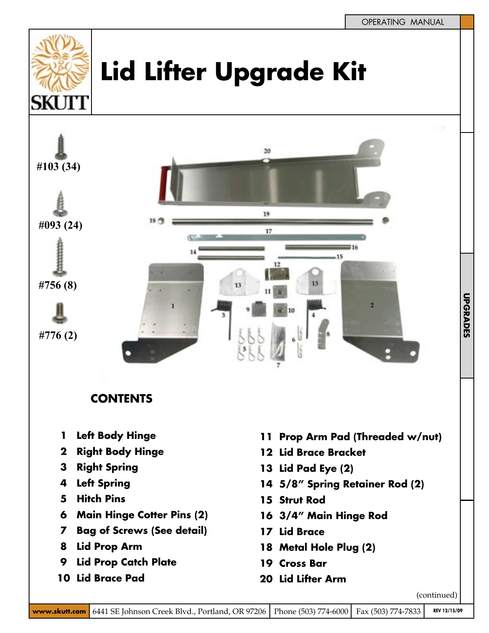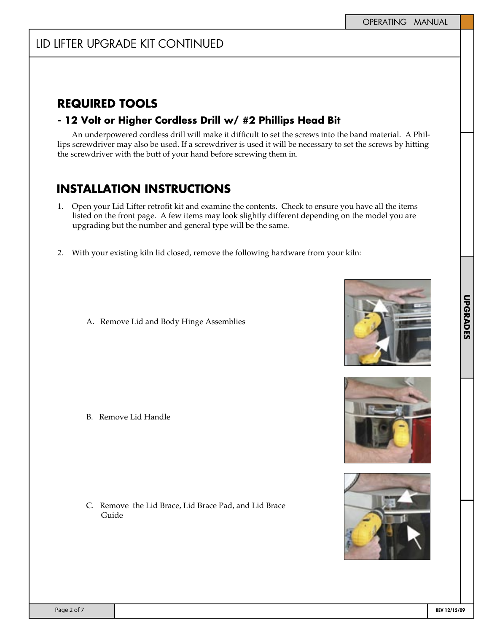### **REQUIRED TOOLS**

#### **- 12 Volt or Higher Cordless Drill w/ #2 Phillips Head Bit**

An underpowered cordless drill will make it difficult to set the screws into the band material. A Phillips screwdriver may also be used. If a screwdriver is used it will be necessary to set the screws by hitting the screwdriver with the butt of your hand before screwing them in.

## **INSTALLATION INSTRUCTIONS**

- 1. Open your Lid Lifter retrofit kit and examine the contents. Check to ensure you have all the items listed on the front page. A few items may look slightly different depending on the model you are upgrading but the number and general type will be the same.
- 2. With your existing kiln lid closed, remove the following hardware from your kiln:
	- A. Remove Lid and Body Hinge Assemblies

B. Remove Lid Handle

C. Remove the Lid Brace, Lid Brace Pad, and Lid Brace Guide





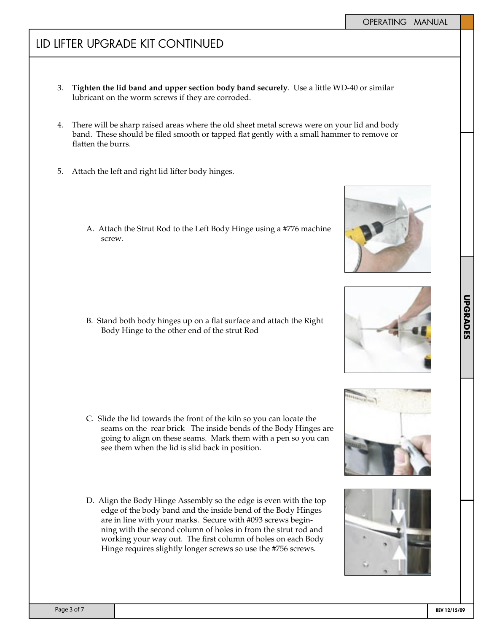### LID LIFTER UPGRADE KIT CONTINUED

- 3. **Tighten the lid band and upper section body band securely**. Use a little WD-40 or similar lubricant on the worm screws if they are corroded.
- 4. There will be sharp raised areas where the old sheet metal screws were on your lid and body band. These should be filed smooth or tapped flat gently with a small hammer to remove or flatten the burrs.
- 5. Attach the left and right lid lifter body hinges.
	- A. Attach the Strut Rod to the Left Body Hinge using a #776 machine screw.

B. Stand both body hinges up on a flat surface and attach the Right Body Hinge to the other end of the strut Rod

- C. Slide the lid towards the front of the kiln so you can locate the seams on the rear brick The inside bends of the Body Hinges are going to align on these seams. Mark them with a pen so you can see them when the lid is slid back in position.
- D. Align the Body Hinge Assembly so the edge is even with the top edge of the body band and the inside bend of the Body Hinges are in line with your marks. Secure with #093 screws beginning with the second column of holes in from the strut rod and working your way out. The first column of holes on each Body Hinge requires slightly longer screws so use the #756 screws.









**TAB TEXT HERE TAB TEXT HERE TAB TEXT HERE**

**UPGRADES**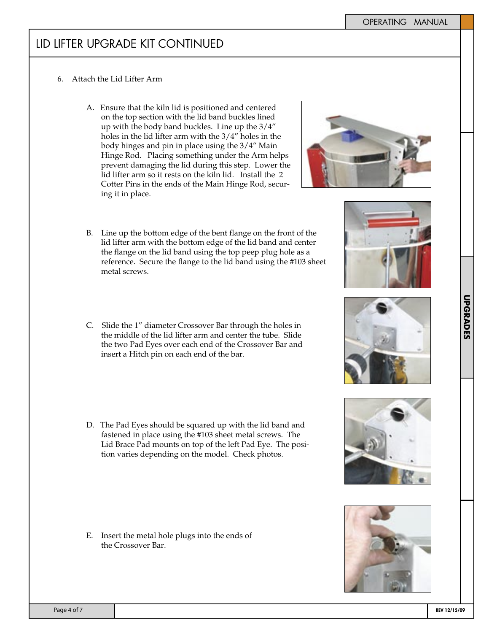#### LID LIFTER UPGRADE KIT CONTINUED

- 6. Attach the Lid Lifter Arm
	- A. Ensure that the kiln lid is positioned and centered on the top section with the lid band buckles lined up with the body band buckles. Line up the 3/4" holes in the lid lifter arm with the 3/4" holes in the body hinges and pin in place using the 3/4" Main Hinge Rod. Placing something under the Arm helps prevent damaging the lid during this step. Lower the lid lifter arm so it rests on the kiln lid. Install the 2 Cotter Pins in the ends of the Main Hinge Rod, securing it in place.
	- B. Line up the bottom edge of the bent flange on the front of the lid lifter arm with the bottom edge of the lid band and center the flange on the lid band using the top peep plug hole as a reference. Secure the flange to the lid band using the #103 sheet metal screws.
	- C. Slide the 1" diameter Crossover Bar through the holes in the middle of the lid lifter arm and center the tube. Slide the two Pad Eyes over each end of the Crossover Bar and insert a Hitch pin on each end of the bar.
	- D. The Pad Eyes should be squared up with the lid band and fastened in place using the #103 sheet metal screws. The Lid Brace Pad mounts on top of the left Pad Eye. The position varies depending on the model. Check photos.

E. Insert the metal hole plugs into the ends of the Crossover Bar.





**TAB TEXT HERE TAB TEXT HERE TAB TEXT HERE**

**UPGRADES** 

**TAB TEXT HERE UPGRADES**





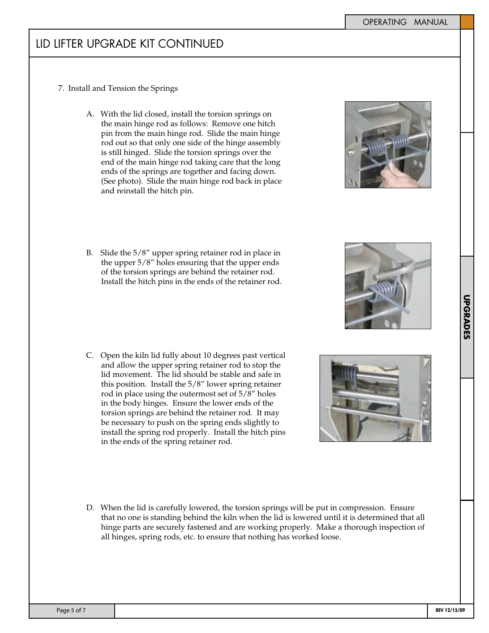# LID LIFTER UPGRADE KIT CONTINUED

- 7. Install and Tension the Springs
	- A. With the lid closed, install the torsion springs on the main hinge rod as follows: Remove one hitch pin from the main hinge rod. Slide the main hinge rod out so that only one side of the hinge assembly is still hinged. Slide the torsion springs over the end of the main hinge rod taking care that the long ends of the springs are together and facing down. (See photo). Slide the main hinge rod back in place and reinstall the hitch pin.



- B. Slide the 5/8" upper spring retainer rod in place in the upper 5/8" holes ensuring that the upper ends of the torsion springs are behind the retainer rod. Install the hitch pins in the ends of the retainer rod.
- C. Open the kiln lid fully about 10 degrees past vertical and allow the upper spring retainer rod to stop the lid movement. The lid should be stable and safe in this position. Install the 5/8" lower spring retainer rod in place using the outermost set of 5/8" holes in the body hinges. Ensure the lower ends of the torsion springs are behind the retainer rod. It may be necessary to push on the spring ends slightly to install the spring rod properly. Install the hitch pins in the ends of the spring retainer rod.



D. When the lid is carefully lowered, the torsion springs will be put in compression. Ensure that no one is standing behind the kiln when the lid is lowered until it is determined that all hinge parts are securely fastened and are working properly. Make a thorough inspection of all hinges, spring rods, etc. to ensure that nothing has worked loose.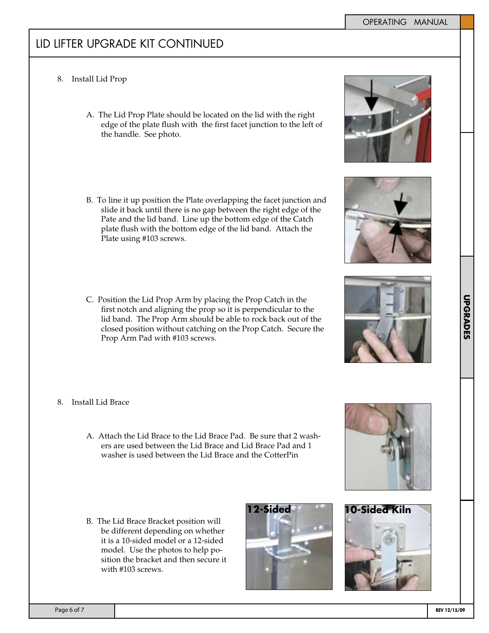**TAB TEXT HERE TAB TEXT HERE TAB TEXT HERE**

**UPGRADES** 

**TAB TEXT HERE UPGRADES**

# LID LIFTER UPGRADE KIT CONTINUED

- 8. Install Lid Prop
	- A. The Lid Prop Plate should be located on the lid with the right edge of the plate flush with the first facet junction to the left of the handle. See photo.
	- B. To line it up position the Plate overlapping the facet junction and slide it back until there is no gap between the right edge of the Pate and the lid band. Line up the bottom edge of the Catch plate flush with the bottom edge of the lid band. Attach the Plate using #103 screws.
	- C. Position the Lid Prop Arm by placing the Prop Catch in the first notch and aligning the prop so it is perpendicular to the lid band. The Prop Arm should be able to rock back out of the closed position without catching on the Prop Catch. Secure the Prop Arm Pad with #103 screws.
- 8. Install Lid Brace
	- A. Attach the Lid Brace to the Lid Brace Pad. Be sure that 2 washers are used between the Lid Brace and Lid Brace Pad and 1 washer is used between the Lid Brace and the CotterPin
	- B. The Lid Brace Bracket position will be different depending on whether it is a 10-sided model or a 12-sided model. Use the photos to help position the bracket and then secure it with #103 screws.